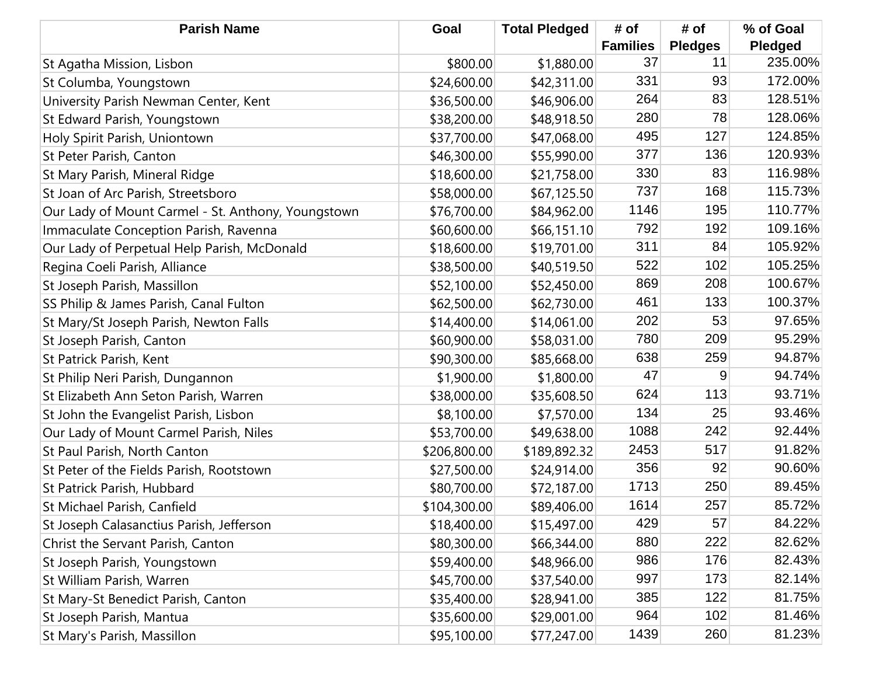| <b>Parish Name</b>                                 | Goal         | <b>Total Pledged</b> | # of            | # of           | % of Goal      |
|----------------------------------------------------|--------------|----------------------|-----------------|----------------|----------------|
|                                                    |              |                      | <b>Families</b> | <b>Pledges</b> | <b>Pledged</b> |
| St Agatha Mission, Lisbon                          | \$800.00     | \$1,880.00           | 37              | 11             | 235.00%        |
| St Columba, Youngstown                             | \$24,600.00  | \$42,311.00          | 331             | 93             | 172.00%        |
| University Parish Newman Center, Kent              | \$36,500.00  | \$46,906.00          | 264             | 83             | 128.51%        |
| St Edward Parish, Youngstown                       | \$38,200.00  | \$48,918.50          | 280             | 78             | 128.06%        |
| Holy Spirit Parish, Uniontown                      | \$37,700.00  | \$47,068.00          | 495             | 127            | 124.85%        |
| St Peter Parish, Canton                            | \$46,300.00  | \$55,990.00          | 377             | 136            | 120.93%        |
| St Mary Parish, Mineral Ridge                      | \$18,600.00  | \$21,758.00          | 330             | 83             | 116.98%        |
| St Joan of Arc Parish, Streetsboro                 | \$58,000.00  | \$67,125.50          | 737             | 168            | 115.73%        |
| Our Lady of Mount Carmel - St. Anthony, Youngstown | \$76,700.00  | \$84,962.00          | 1146            | 195            | 110.77%        |
| Immaculate Conception Parish, Ravenna              | \$60,600.00  | \$66,151.10          | 792             | 192            | 109.16%        |
| Our Lady of Perpetual Help Parish, McDonald        | \$18,600.00  | \$19,701.00          | 311             | 84             | 105.92%        |
| Regina Coeli Parish, Alliance                      | \$38,500.00  | \$40,519.50          | 522             | 102            | 105.25%        |
| St Joseph Parish, Massillon                        | \$52,100.00  | \$52,450.00          | 869             | 208            | 100.67%        |
| SS Philip & James Parish, Canal Fulton             | \$62,500.00  | \$62,730.00          | 461             | 133            | 100.37%        |
| St Mary/St Joseph Parish, Newton Falls             | \$14,400.00  | \$14,061.00          | 202             | 53             | 97.65%         |
| St Joseph Parish, Canton                           | \$60,900.00  | \$58,031.00          | 780             | 209            | 95.29%         |
| St Patrick Parish, Kent                            | \$90,300.00  | \$85,668.00          | 638             | 259            | 94.87%         |
| St Philip Neri Parish, Dungannon                   | \$1,900.00   | \$1,800.00           | 47              | 9              | 94.74%         |
| St Elizabeth Ann Seton Parish, Warren              | \$38,000.00  | \$35,608.50          | 624             | 113            | 93.71%         |
| St John the Evangelist Parish, Lisbon              | \$8,100.00   | \$7,570.00           | 134             | 25             | 93.46%         |
| Our Lady of Mount Carmel Parish, Niles             | \$53,700.00  | \$49,638.00          | 1088            | 242            | 92.44%         |
| St Paul Parish, North Canton                       | \$206,800.00 | \$189,892.32         | 2453            | 517            | 91.82%         |
| St Peter of the Fields Parish, Rootstown           | \$27,500.00  | \$24,914.00          | 356             | 92             | 90.60%         |
| St Patrick Parish, Hubbard                         | \$80,700.00  | \$72,187.00          | 1713            | 250            | 89.45%         |
| St Michael Parish, Canfield                        | \$104,300.00 | \$89,406.00          | 1614            | 257            | 85.72%         |
| St Joseph Calasanctius Parish, Jefferson           | \$18,400.00  | \$15,497.00          | 429             | 57             | 84.22%         |
| Christ the Servant Parish, Canton                  | \$80,300.00  | \$66,344.00          | 880             | 222            | 82.62%         |
| St Joseph Parish, Youngstown                       | \$59,400.00  | \$48,966.00          | 986             | 176            | 82.43%         |
| St William Parish, Warren                          | \$45,700.00  | \$37,540.00          | 997             | 173            | 82.14%         |
| St Mary-St Benedict Parish, Canton                 | \$35,400.00  | \$28,941.00          | 385             | 122            | 81.75%         |
| St Joseph Parish, Mantua                           | \$35,600.00  | \$29,001.00          | 964             | 102            | 81.46%         |
| St Mary's Parish, Massillon                        | \$95,100.00  | \$77,247.00          | 1439            | 260            | 81.23%         |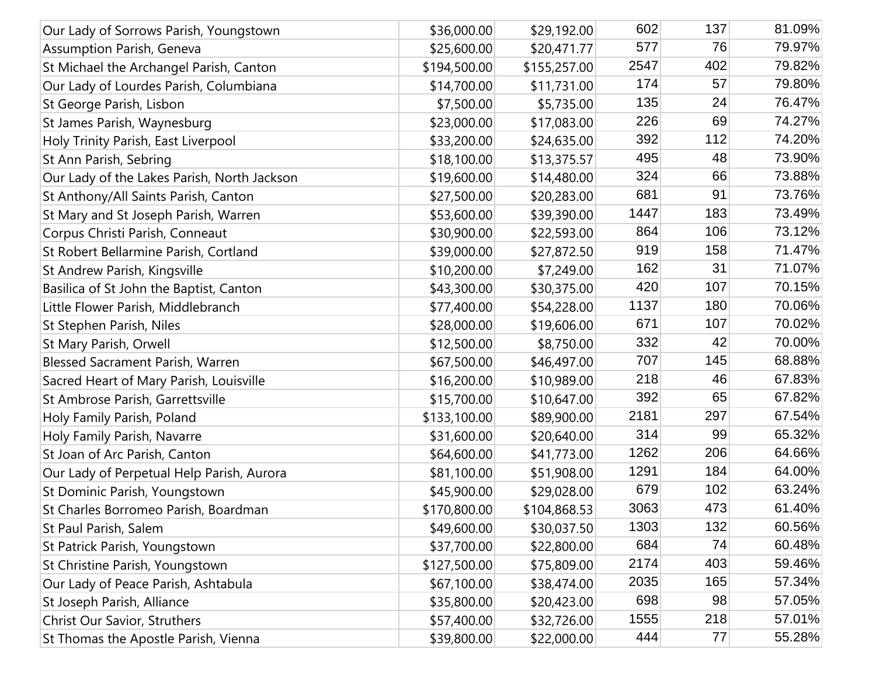| Our Lady of Sorrows Parish, Youngstown      | \$36,000.00  | \$29,192.00  | 602  | 137 | 81.09% |
|---------------------------------------------|--------------|--------------|------|-----|--------|
| <b>Assumption Parish, Geneva</b>            | \$25,600.00  | \$20,471.77  | 577  | 76  | 79.97% |
| St Michael the Archangel Parish, Canton     | \$194,500.00 | \$155,257.00 | 2547 | 402 | 79.82% |
| Our Lady of Lourdes Parish, Columbiana      | \$14,700.00  | \$11,731.00  | 174  | 57  | 79.80% |
| St George Parish, Lisbon                    | \$7,500.00   | \$5,735.00   | 135  | 24  | 76.47% |
| St James Parish, Waynesburg                 | \$23,000.00  | \$17,083.00  | 226  | 69  | 74.27% |
| Holy Trinity Parish, East Liverpool         | \$33,200.00  | \$24,635.00  | 392  | 112 | 74.20% |
| St Ann Parish, Sebring                      | \$18,100.00  | \$13,375.57  | 495  | 48  | 73.90% |
| Our Lady of the Lakes Parish, North Jackson | \$19,600.00  | \$14,480.00  | 324  | 66  | 73.88% |
| St Anthony/All Saints Parish, Canton        | \$27,500.00  | \$20,283.00  | 681  | 91  | 73.76% |
| St Mary and St Joseph Parish, Warren        | \$53,600.00  | \$39,390.00  | 1447 | 183 | 73.49% |
| Corpus Christi Parish, Conneaut             | \$30,900.00  | \$22,593.00  | 864  | 106 | 73.12% |
| St Robert Bellarmine Parish, Cortland       | \$39,000.00  | \$27,872.50  | 919  | 158 | 71.47% |
| St Andrew Parish, Kingsville                | \$10,200.00  | \$7,249.00   | 162  | 31  | 71.07% |
| Basilica of St John the Baptist, Canton     | \$43,300.00  | \$30,375.00  | 420  | 107 | 70.15% |
| Little Flower Parish, Middlebranch          | \$77,400.00  | \$54,228.00  | 1137 | 180 | 70.06% |
| St Stephen Parish, Niles                    | \$28,000.00  | \$19,606.00  | 671  | 107 | 70.02% |
| St Mary Parish, Orwell                      | \$12,500.00  | \$8,750.00   | 332  | 42  | 70.00% |
| <b>Blessed Sacrament Parish, Warren</b>     | \$67,500.00  | \$46,497.00  | 707  | 145 | 68.88% |
| Sacred Heart of Mary Parish, Louisville     | \$16,200.00  | \$10,989.00  | 218  | 46  | 67.83% |
| St Ambrose Parish, Garrettsville            | \$15,700.00  | \$10,647.00  | 392  | 65  | 67.82% |
| Holy Family Parish, Poland                  | \$133,100.00 | \$89,900.00  | 2181 | 297 | 67.54% |
| Holy Family Parish, Navarre                 | \$31,600.00  | \$20,640.00  | 314  | 99  | 65.32% |
| St Joan of Arc Parish, Canton               | \$64,600.00  | \$41,773.00  | 1262 | 206 | 64.66% |
| Our Lady of Perpetual Help Parish, Aurora   | \$81,100.00  | \$51,908.00  | 1291 | 184 | 64.00% |
| St Dominic Parish, Youngstown               | \$45,900.00  | \$29,028.00  | 679  | 102 | 63.24% |
| St Charles Borromeo Parish, Boardman        | \$170,800.00 | \$104,868.53 | 3063 | 473 | 61.40% |
| St Paul Parish, Salem                       | \$49,600.00  | \$30,037.50  | 1303 | 132 | 60.56% |
| St Patrick Parish, Youngstown               | \$37,700.00  | \$22,800.00  | 684  | 74  | 60.48% |
| St Christine Parish, Youngstown             | \$127,500.00 | \$75,809.00  | 2174 | 403 | 59.46% |
| Our Lady of Peace Parish, Ashtabula         | \$67,100.00  | \$38,474.00  | 2035 | 165 | 57.34% |
| St Joseph Parish, Alliance                  | \$35,800.00  | \$20,423.00  | 698  | 98  | 57.05% |
| Christ Our Savior, Struthers                | \$57,400.00  | \$32,726.00  | 1555 | 218 | 57.01% |
| St Thomas the Apostle Parish, Vienna        | \$39,800.00  | \$22,000.00  | 444  | 77  | 55.28% |